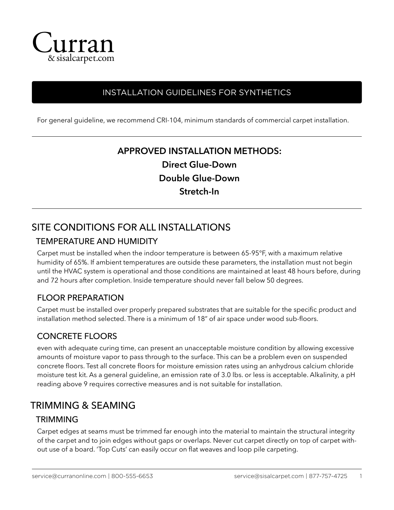

### INSTALLATION GUIDELINES FOR SYNTHETICS

For general guideline, we recommend CRI-104, minimum standards of commercial carpet installation.

# **APPROVED INSTALLATION METHODS: Direct Glue-Down Double Glue-Down Stretch-In**

## SITE CONDITIONS FOR ALL INSTALLATIONS

#### TEMPERATURE AND HUMIDITY

Carpet must be installed when the indoor temperature is between 65-95°F, with a maximum relative humidity of 65%. If ambient temperatures are outside these parameters, the installation must not begin until the HVAC system is operational and those conditions are maintained at least 48 hours before, during and 72 hours after completion. Inside temperature should never fall below 50 degrees.

#### FLOOR PREPARATION

Carpet must be installed over properly prepared substrates that are suitable for the specific product and installation method selected. There is a minimum of 18" of air space under wood sub-floors.

### CONCRETE FLOORS

even with adequate curing time, can present an unacceptable moisture condition by allowing excessive amounts of moisture vapor to pass through to the surface. This can be a problem even on suspended concrete floors. Test all concrete floors for moisture emission rates using an anhydrous calcium chloride moisture test kit. As a general guideline, an emission rate of 3.0 lbs. or less is acceptable. Alkalinity, a pH reading above 9 requires corrective measures and is not suitable for installation.

### TRIMMING & SEAMING

#### **TRIMMING**

Carpet edges at seams must be trimmed far enough into the material to maintain the structural integrity of the carpet and to join edges without gaps or overlaps. Never cut carpet directly on top of carpet without use of a board. 'Top Cuts' can easily occur on flat weaves and loop pile carpeting.